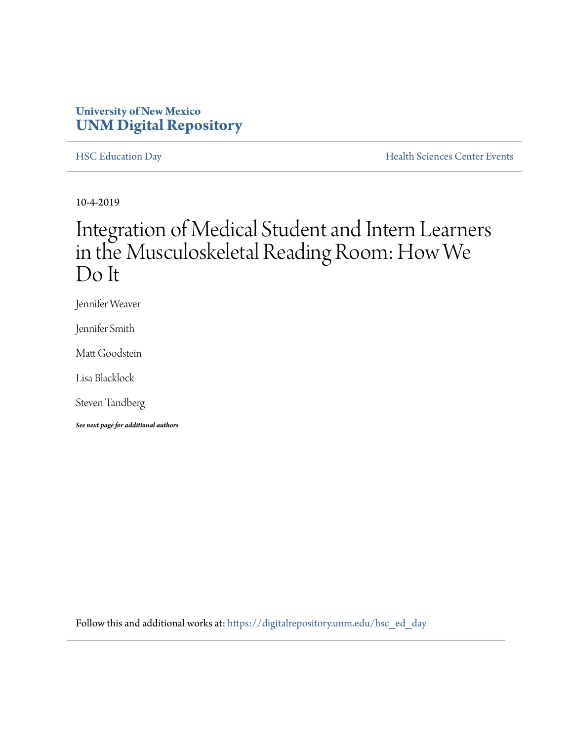## **University of New Mexico [UNM Digital Repository](https://digitalrepository.unm.edu/?utm_source=digitalrepository.unm.edu%2Fhsc_ed_day%2F46&utm_medium=PDF&utm_campaign=PDFCoverPages)**

[HSC Education Day](https://digitalrepository.unm.edu/hsc_ed_day?utm_source=digitalrepository.unm.edu%2Fhsc_ed_day%2F46&utm_medium=PDF&utm_campaign=PDFCoverPages) **[Health Sciences Center Events](https://digitalrepository.unm.edu/hsc_events?utm_source=digitalrepository.unm.edu%2Fhsc_ed_day%2F46&utm_medium=PDF&utm_campaign=PDFCoverPages)** 

10-4-2019

## Integration of Medical Student and Intern Learners in the Musculoskeletal Reading Room: How We Do It

Jennifer Weaver

Jennifer Smith

Matt Goodstein

Lisa Blacklock

Steven Tandberg

*See next page for additional authors*

Follow this and additional works at: [https://digitalrepository.unm.edu/hsc\\_ed\\_day](https://digitalrepository.unm.edu/hsc_ed_day?utm_source=digitalrepository.unm.edu%2Fhsc_ed_day%2F46&utm_medium=PDF&utm_campaign=PDFCoverPages)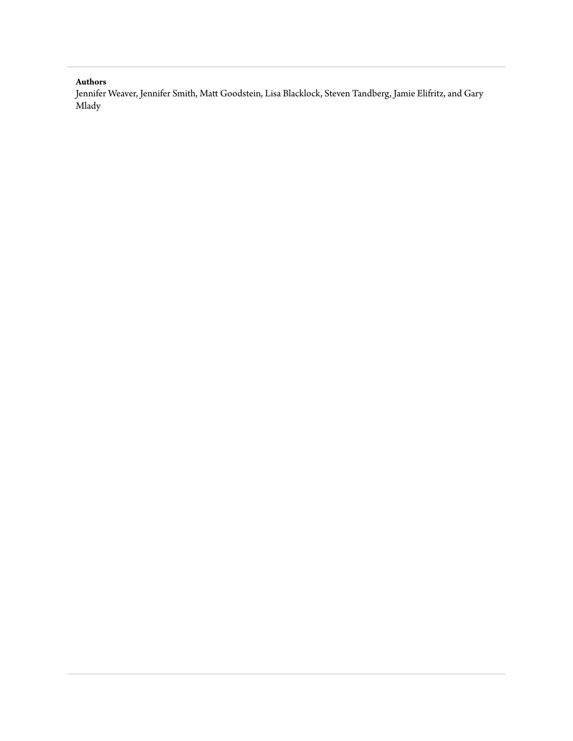## **Authors**

Jennifer Weaver, Jennifer Smith, Matt Goodstein, Lisa Blacklock, Steven Tandberg, Jamie Elifritz, and Gary Mlady